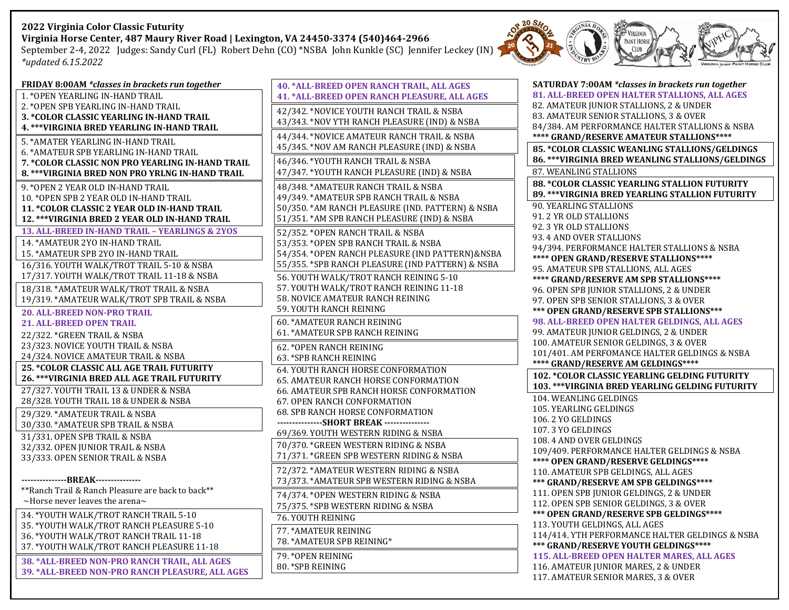## **2022 Virginia Color Classic Futurity Virginia Horse Center, 487 Maury River Road | Lexington, VA 24450‐3374 (540)464-2966**

September 2-4, 2022 Judges: Sandy Curl (FL) Robert Dehn (CO) \*NSBA John Kunkle (SC) Jennifer Leckey (IN) *\*updated 6.15.2022*



| FRIDAY 8:00AM *classes in brackets run together                                                | 40. * ALI             |
|------------------------------------------------------------------------------------------------|-----------------------|
| 1. * OPEN YEARLING IN-HAND TRAIL                                                               | 41. * ALI             |
| 2. *OPEN SPB YEARLING IN-HAND TRAIL                                                            | 42/342.               |
| <b>3. *COLOR CLASSIC YEARLING IN-HAND TRAIL</b>                                                | 43/343.               |
| 4. *** VIRGINIA BRED YEARLING IN-HAND TRAIL                                                    | 44/344.               |
| 5. *AMATER YEARLING IN-HAND TRAIL                                                              | 45/345.               |
| 6. *AMATEUR SPB YEARLING IN-HAND TRAIL                                                         |                       |
| 7. *COLOR CLASSIC NON PRO YEARLING IN-HAND TRAIL                                               | 46/346.<br>47/347.    |
| 8. *** VIRGINIA BRED NON PRO YRLNG IN-HAND TRAIL                                               |                       |
| 9. * OPEN 2 YEAR OLD IN-HAND TRAIL                                                             | 48/348.               |
| 10. *OPEN SPB 2 YEAR OLD IN-HAND TRAIL                                                         | 49/349.<br>50/350.    |
| 11. * COLOR CLASSIC 2 YEAR OLD IN-HAND TRAIL<br>12. *** VIRGINIA BRED 2 YEAR OLD IN-HAND TRAIL | 51/351.               |
| 13. ALL-BREED IN-HAND TRAIL - YEARLINGS & 2YOS                                                 |                       |
| 14. * AMATEUR 2YO IN-HAND TRAIL                                                                | 52/352.<br>53/353.    |
| 15. * AMATEUR SPB 2YO IN-HAND TRAIL                                                            | 54/354.               |
| 16/316. YOUTH WALK/TROT TRAIL 5-10 & NSBA                                                      | 55/355.               |
| 17/317. YOUTH WALK/TROT TRAIL 11-18 & NSBA                                                     | 56. YOU               |
| 18/318. * AMATEUR WALK/TROT TRAIL & NSBA                                                       | 57. YOU               |
| 19/319. * AMATEUR WALK/TROT SPB TRAIL & NSBA                                                   | 58. NOV               |
| <b>20. ALL-BREED NON-PRO TRAIL</b>                                                             | 59. YOU               |
| <b>21. ALL-BREED OPEN TRAIL</b>                                                                | 60.*AM                |
| 22/322. *GREEN TRAIL & NSBA                                                                    | 61.*AM                |
| 23/323. NOVICE YOUTH TRAIL & NSBA                                                              | 62. * OPI             |
| 24/324. NOVICE AMATEUR TRAIL & NSBA                                                            | 63. *SPE              |
| <b>25. *COLOR CLASSIC ALL AGE TRAIL FUTURITY</b>                                               | 64. YOU               |
| 26. *** VIRGINIA BRED ALL AGE TRAIL FUTURITY                                                   | 65. AMA               |
| 27/327. YOUTH TRAIL 13 & UNDER & NSBA                                                          | 66. AMA               |
| 28/328. YOUTH TRAIL 18 & UNDER & NSBA                                                          | 67. OPE               |
| 29/329. * AMATEUR TRAIL & NSBA                                                                 | 68. SPB<br>---------- |
| 30/330. * AMATEUR SPB TRAIL & NSBA                                                             | 69/369.               |
| 31/331. OPEN SPB TRAIL & NSBA                                                                  | 70/370.               |
| 32/332. OPEN JUNIOR TRAIL & NSBA<br>33/333. OPEN SENIOR TRAIL & NSBA                           | 71/371.               |
|                                                                                                | 72/372.               |
| ------------BREAK---------------                                                               | 73/373.               |
| **Ranch Trail & Ranch Pleasure are back to back**                                              |                       |
| $\sim$ Horse never leaves the arena $\sim$                                                     | 74/374.               |
| 34. * YOUTH WALK/TROT RANCH TRAIL 5-10                                                         | 75/375.<br>76. YOU    |
| 35. *YOUTH WALK/TROT RANCH PLEASURE 5-10                                                       |                       |
| 36. * YOUTH WALK/TROT RANCH TRAIL 11-18                                                        | 77. * AM              |
| 37. * YOUTH WALK/TROT RANCH PLEASURE 11-18                                                     | 78.*AM                |
| 38. * ALL-BREED NON-PRO RANCH TRAIL, ALL AGES                                                  | 79. * OPI             |
| 39. * ALL-BREED NON-PRO RANCH PLEASURE, ALL AGES                                               | 80. * SPE             |

| 40. * ALL-BREED OPEN RANCH TRAIL, ALL AGES                                     |
|--------------------------------------------------------------------------------|
| 41. * ALL-BREED OPEN RANCH PLEASURE, ALL AGES                                  |
| 42/342. * NOVICE YOUTH RANCH TRAIL & NSBA                                      |
| 43/343. *NOV YTH RANCH PLEASURE (IND) & NSBA                                   |
| 44/344. * NOVICE AMATEUR RANCH TRAIL & NSBA                                    |
| 45/345. *NOV AM RANCH PLEASURE (IND) & NSBA                                    |
| 46/346. * YOUTH RANCH TRAIL & NSBA                                             |
| 47/347. * YOUTH RANCH PLEASURE (IND) & NSBA                                    |
| 48/348. * AMATEUR RANCH TRAIL & NSBA                                           |
| 49/349. * AMATEUR SPB RANCH TRAIL & NSBA                                       |
| 50/350. * AM RANCH PLEASURE (IND. PATTERN) & NSBA                              |
| 51/351. * AM SPB RANCH PLEASURE (IND) & NSBA                                   |
| 52/352. * OPEN RANCH TRAIL & NSBA                                              |
| 53/353. * OPEN SPB RANCH TRAIL & NSBA                                          |
| 54/354. * OPEN RANCH PLEASURE (IND PATTERN) & NSBA                             |
| 55/355. * SPB RANCH PLEASURE (IND PATTERN) & NSBA                              |
| 56. YOUTH WALK/TROT RANCH REINING 5-10                                         |
| 57. YOUTH WALK/TROT RANCH REINING 11-18                                        |
| 58. NOVICE AMATEUR RANCH REINING                                               |
| 59. YOUTH RANCH REINING                                                        |
| <b>60. * AMATEUR RANCH REINING</b>                                             |
| 61. *AMATEUR SPB RANCH REINING                                                 |
| 62. * OPEN RANCH REINING                                                       |
| 63. *SPB RANCH REINING                                                         |
| 64. YOUTH RANCH HORSE CONFORMATION                                             |
| 65. AMATEUR RANCH HORSE CONFORMATION                                           |
| 66. AMATEUR SPB RANCH HORSE CONFORMATION                                       |
| 67. OPEN RANCH CONFORMATION                                                    |
| 68. SPB RANCH HORSE CONFORMATION<br>---------------SHORT BREAK --------------- |
| 69/369. YOUTH WESTERN RIDING & NSBA                                            |
| 70/370. * GREEN WESTERN RIDING & NSBA                                          |
| 71/371. * GREEN SPB WESTERN RIDING & NSBA                                      |
| 72/372. * AMATEUR WESTERN RIDING & NSBA                                        |
| 73/373. * AMATEUR SPB WESTERN RIDING & NSBA                                    |
| 74/374. * OPEN WESTERN RIDING & NSBA                                           |
| 75/375. *SPB WESTERN RIDING & NSBA                                             |
| 76. YOUTH REINING                                                              |
| 77. * AMATEUR REINING                                                          |
| 78. * AMATEUR SPB REINING*                                                     |
| 79. * OPEN REINING                                                             |
| 80. *SPB REINING                                                               |

| SATURDAY 7:00AM *classes in brackets run together                           |  |  |
|-----------------------------------------------------------------------------|--|--|
| 81. ALL-BREED OPEN HALTER STALLIONS, ALL AGES                               |  |  |
| 82. AMATEUR JUNIOR STALLIONS, 2 & UNDER                                     |  |  |
| 83. AMATEUR SENIOR STALLIONS, 3 & OVER                                      |  |  |
| 84/384. AM PERFORMANCE HALTER STALLIONS & NSBA                              |  |  |
| **** GRAND/RESERVE AMATEUR STALLIONS****                                    |  |  |
| 85. * COLOR CLASSIC WEANLING STALLIONS/GELDINGS                             |  |  |
| 86. *** VIRGINIA BRED WEANLING STALLIONS/GELDINGS                           |  |  |
| 87. WEANLING STALLIONS                                                      |  |  |
| 88. * COLOR CLASSIC YEARLING STALLION FUTURITY                              |  |  |
| 89. *** VIRGINIA BRED YEARLING STALLION FUTURITY                            |  |  |
| <b>90. YEARLING STALLIONS</b>                                               |  |  |
| 91.2 YR OLD STALLIONS                                                       |  |  |
| 92.3 YR OLD STALLIONS                                                       |  |  |
| 93.4 AND OVER STALLIONS                                                     |  |  |
| 94/394. PERFORMANCE HALTER STALLIONS & NSBA                                 |  |  |
| **** OPEN GRAND/RESERVE STALLIONS****                                       |  |  |
| 95. AMATEUR SPB STALLIONS, ALL AGES                                         |  |  |
| **** GRAND/RESERVE AM SPB STALLIONS****                                     |  |  |
| 96. OPEN SPB JUNIOR STALLIONS, 2 & UNDER                                    |  |  |
| 97. OPEN SPB SENIOR STALLIONS, 3 & OVER                                     |  |  |
| *** OPEN GRAND/RESERVE SPB STALLIONS***                                     |  |  |
| 98. ALL-BREED OPEN HALTER GELDINGS, ALL AGES                                |  |  |
| 99. AMATEUR JUNIOR GELDINGS, 2 & UNDER                                      |  |  |
| 100. AMATEUR SENIOR GELDINGS, 3 & OVER                                      |  |  |
| 101/401. AM PERFOMANCE HALTER GELDINGS & NSBA                               |  |  |
|                                                                             |  |  |
| **** GRAND/RESERVE AM GELDINGS****                                          |  |  |
| 102. * COLOR CLASSIC YEARLING GELDING FUTURITY                              |  |  |
| 103. *** VIRGINIA BRED YEARLING GELDING FUTURITY                            |  |  |
| 104. WEANLING GELDINGS                                                      |  |  |
| 105. YEARLING GELDINGS                                                      |  |  |
| 106.2 YO GELDINGS                                                           |  |  |
| 107.3 YO GELDINGS                                                           |  |  |
| 108.4 AND OVER GELDINGS                                                     |  |  |
| 109/409. PERFORMANCE HALTER GELDINGS & NSBA                                 |  |  |
| **** OPEN GRAND/RESERVE GELDINGS****                                        |  |  |
| 110. AMATEUR SPB GELDINGS, ALL AGES                                         |  |  |
| *** GRAND/RESERVE AM SPB GELDINGS****                                       |  |  |
| 111. OPEN SPB JUNIOR GELDINGS, 2 & UNDER                                    |  |  |
| 112. OPEN SPB SENIOR GELDINGS, 3 & OVER                                     |  |  |
| *** OPEN GRAND/RESERVE SPB GELDINGS****                                     |  |  |
| 113. YOUTH GELDINGS, ALL AGES                                               |  |  |
| 114/414. YTH PERFORMANCE HALTER GELDINGS & NSBA                             |  |  |
| *** GRAND/RESERVE YOUTH GELDINGS****                                        |  |  |
| 115. ALL-BREED OPEN HALTER MARES, ALL AGES                                  |  |  |
| 116. AMATEUR JUNIOR MARES, 2 & UNDER<br>117. AMATEUR SENIOR MARES, 3 & OVER |  |  |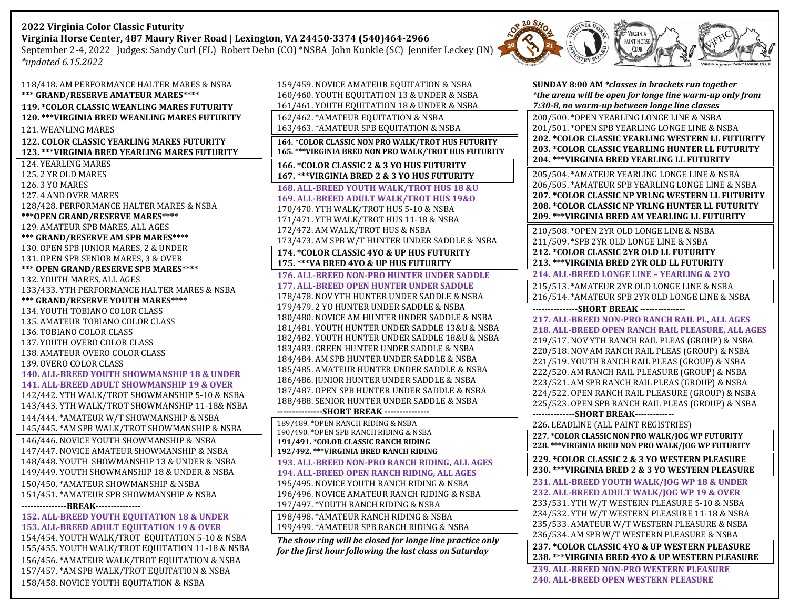# **2022 Virginia Color Classic Futurity Virginia Horse Center, 487 Maury River Road | Lexington, VA 24450‐3374 (540)464-2966**

September 2-4, 2022 Judges: Sandy Curl (FL) Robert Dehn (CO) \*NSBA John Kunkle (SC) Jennifer Leckey (IN) *\*updated 6.15.2022*



| 159/459. NOVICE AMATEUR EQUITATION & NSBA                                      | SUNDAY 8:00 AM *classes in brackets run together         |  |
|--------------------------------------------------------------------------------|----------------------------------------------------------|--|
| 160/460. YOUTH EQUITATION 13 & UNDER & NSBA                                    | *the arena will be open for longe line warm-up only from |  |
| 161/461. YOUTH EQUITATION 18 & UNDER & NSBA                                    | 7:30-8, no warm-up between longe line classes            |  |
| 162/462. * AMATEUR EQUITATION & NSBA                                           | 200/500. * OPEN YEARLING LONGE LINE & NSBA               |  |
| 163/463. * AMATEUR SPB EQUITATION & NSBA                                       | 201/501. * OPEN SPB YEARLING LONGE LINE & NSBA           |  |
| 164. *COLOR CLASSIC NON PRO WALK/TROT HUS FUTURITY                             | <b>202. *COLOR CLASSIC YEARLING WESTERN LL FUTURITY</b>  |  |
| 165. *** VIRGINIA BRED NON PRO WALK/TROT HUS FUTURITY                          | <b>203. *COLOR CLASSIC YEARLING HUNTER LL FUTURITY</b>   |  |
| 166. * COLOR CLASSIC 2 & 3 YO HUS FUTURITY                                     | 204. *** VIRGINIA BRED YEARLING LL FUTURITY              |  |
| 167. *** VIRGINIA BRED 2 & 3 YO HUS FUTURITY                                   | 205/504. * AMATEUR YEARLING LONGE LINE & NSBA            |  |
| 168. ALL-BREED YOUTH WALK/TROT HUS 18 &U                                       | 206/505. * AMATEUR SPB YEARLING LONGE LINE & NSBA        |  |
| 169. ALL-BREED ADULT WALK/TROT HUS 19&0                                        | <b>207. *COLOR CLASSIC NP YRLNG WESTERN LL FUTURITY</b>  |  |
| 170/470. YTH WALK/TROT HUS 5-10 & NSBA                                         | <b>208. *COLOR CLASSIC NP YRLNG HUNTER LL FUTURITY</b>   |  |
| 171/471. YTH WALK/TROT HUS 11-18 & NSBA                                        | 209. *** VIRGINIA BRED AM YEARLING LL FUTURITY           |  |
| 172/472. AM WALK/TROT HUS & NSBA                                               | 210/508. * OPEN 2YR OLD LONGE LINE & NSBA                |  |
| 173/473. AM SPB W/T HUNTER UNDER SADDLE & NSBA                                 | 211/509. * SPB 2YR OLD LONGE LINE & NSBA                 |  |
| 174. * COLOR CLASSIC 4YO & UP HUS FUTURITY                                     | <b>212. *COLOR CLASSIC 2YR OLD LL FUTURITY</b>           |  |
| 175. *** VA BRED 4YO & UP HUS FUTURITY                                         | 213. *** VIRGINIA BRED 2YR OLD LL FUTURITY               |  |
| <b>176. ALL-BREED NON-PRO HUNTER UNDER SADDLE</b>                              | 214. ALL-BREED LONGE LINE - YEARLING & 2YO               |  |
| <b>177. ALL-BREED OPEN HUNTER UNDER SADDLE</b>                                 | 215/513. * AMATEUR 2YR OLD LONGE LINE & NSBA             |  |
| 178/478. NOV YTH HUNTER UNDER SADDLE & NSBA                                    | 216/514. * AMATEUR SPB 2YR OLD LONGE LINE & NSBA         |  |
| 179/479. 2 YO HUNTER UNDER SADDLE & NSBA                                       | ----------------SHORT BREAK ---------------              |  |
| 180/480. NOVICE AM HUNTER UNDER SADDLE & NSBA                                  | 217. ALL-BREED NON-PRO RANCH RAIL PL, ALL AGES           |  |
| 181/481. YOUTH HUNTER UNDER SADDLE 13&U & NSBA                                 | 218. ALL-BREED OPEN RANCH RAIL PLEASURE, ALL AGES        |  |
| 182/482. YOUTH HUNTER UNDER SADDLE 18&U & NSBA                                 | 219/517. NOV YTH RANCH RAIL PLEAS (GROUP) & NSBA         |  |
| 183/483. GREEN HUNTER UNDER SADDLE & NSBA                                      | 220/518. NOV AM RANCH RAIL PLEAS (GROUP) & NSBA          |  |
| 184/484. AM SPB HUNTER UNDER SADDLE & NSBA                                     | 221/519. YOUTH RANCH RAIL PLEAS (GROUP) & NSBA           |  |
| 185/485. AMATEUR HUNTER UNDER SADDLE & NSBA                                    | 222/520. AM RANCH RAIL PLEASURE (GROUP) & NSBA           |  |
| 186/486. JUNIOR HUNTER UNDER SADDLE & NSBA                                     | 223/521. AM SPB RANCH RAIL PLEAS (GROUP) & NSBA          |  |
| 187/487. OPEN SPB HUNTER UNDER SADDLE & NSBA                                   | 224/522. OPEN RANCH RAIL PLEASURE (GROUP) & NSBA         |  |
| 188/488. SENIOR HUNTER UNDER SADDLE & NSBA                                     | 225/523. OPEN SPB RANCH RAIL PLEAS (GROUP) & NSBA        |  |
| ---------------SHORT BREAK ---------------                                     |                                                          |  |
| 189/489. * OPEN RANCH RIDING & NSBA<br>190/490. * OPEN SPB RANCH RIDING & NSBA | 226. LEADLINE (ALL PAINT REGISTRIES)                     |  |
| 191/491. * COLOR CLASSIC RANCH RIDING                                          | 227. *COLOR CLASSIC NON PRO WALK/JOG WP FUTURITY         |  |
| 192/492. *** VIRGINIA BRED RANCH RIDING                                        | 228. ***VIRGINIA BRED NON PRO WALK/JOG WP FUTURITY       |  |
| 193. ALL-BREED NON-PRO RANCH RIDING, ALL AGES                                  | 229. * COLOR CLASSIC 2 & 3 YO WESTERN PLEASURE           |  |
| 194. ALL-BREED OPEN RANCH RIDING, ALL AGES                                     | 230.***VIRGINIA BRED 2 & 3 YO WESTERN PLEASURE           |  |
| 195/495. NOVICE YOUTH RANCH RIDING & NSBA                                      | 231. ALL-BREED YOUTH WALK/JOG WP 18 & UNDER              |  |
| 196/496. NOVICE AMATEUR RANCH RIDING & NSBA                                    | 232. ALL-BREED ADULT WALK/JOG WP 19 & OVER               |  |
| 197/497. * YOUTH RANCH RIDING & NSBA                                           | 233/531. YTH W/T WESTERN PLEASURE 5-10 & NSBA            |  |
| 198/498. * AMATEUR RANCH RIDING & NSBA                                         | 234/532. YTH W/T WESTERN PLEASURE 11-18 & NSBA           |  |
| 199/499. * AMATEUR SPB RANCH RIDING & NSBA                                     | 235/533. AMATEUR W/T WESTERN PLEASURE & NSBA             |  |
| The show ring will be closed for longe line practice only                      | 236/534. AM SPB W/T WESTERN PLEASURE & NSBA              |  |
| for the first hour following the last class on Saturday                        | 237. *COLOR CLASSIC 4YO & UP WESTERN PLEASURE            |  |
|                                                                                | 238.***VIRGINIA BRED 4YO & UP WESTERN PLEASURE           |  |
|                                                                                | <b>239. ALL-BREED NON-PRO WESTERN PLEASURE</b>           |  |
|                                                                                | <b>240. ALL-BREED OPEN WESTERN PLEASURE</b>              |  |

| 118/418. AM PERFORMANCE HALTER MARES & NSBA<br>*** GRAND/RESERVE AMATEUR MARES**** |  |  |
|------------------------------------------------------------------------------------|--|--|
| 119. * COLOR CLASSIC WEANLING MARES FUTURITY                                       |  |  |
| 120.***VIRGINIA BRED WEANLING MARES FUTURITY                                       |  |  |
| 121. WEANLING MARES                                                                |  |  |
| 122. COLOR CLASSIC YEARLING MARES FUTURITY                                         |  |  |
| 123. ***VIRGINIA BRED YEARLING MARES FUTURITY                                      |  |  |
| 124. YEARLING MARES                                                                |  |  |
| 125.2 YR OLD MARES                                                                 |  |  |
| 126.3 YO MARES                                                                     |  |  |
| 127.4 AND OVER MARES                                                               |  |  |
| 128/428. PERFORMANCE HALTER MARES & NSBA<br>*** OPEN GRAND/RESERVE MARES****       |  |  |
| 129. AMATEUR SPB MARES, ALL AGES                                                   |  |  |
| *** GRAND/RESERVE AM SPB MARES****                                                 |  |  |
| 130. OPEN SPB JUNIOR MARES, 2 & UNDER                                              |  |  |
| 131. OPEN SPB SENIOR MARES, 3 & OVER                                               |  |  |
| *** OPEN GRAND/RESERVE SPB MARES****                                               |  |  |
| 132. YOUTH MARES, ALL AGES                                                         |  |  |
| 133/433. YTH PERFORMANCE HALTER MARES & NSBA                                       |  |  |
| *** GRAND/RESERVE YOUTH MARES****                                                  |  |  |
| 134. YOUTH TOBIANO COLOR CLASS                                                     |  |  |
| 135. AMATEUR TOBIANO COLOR CLASS                                                   |  |  |
| 136. TOBIANO COLOR CLASS                                                           |  |  |
| 137. YOUTH OVERO COLOR CLASS                                                       |  |  |
| 138. AMATEUR OVERO COLOR CLASS                                                     |  |  |
| 139. OVERO COLOR CLASS<br>140. ALL-BREED YOUTH SHOWMANSHIP 18 & UNDER              |  |  |
| 141. ALL-BREED ADULT SHOWMANSHIP 19 & OVER                                         |  |  |
| 142/442. YTH WALK/TROT SHOWMANSHIP 5-10 & NSBA                                     |  |  |
| 143/443. YTH WALK/TROT SHOWMANSHIP 11-18& NSBA                                     |  |  |
| 144/444. * AMATEUR W/T SHOWMANSHIP & NSBA                                          |  |  |
| 145/445. * AM SPB WALK/TROT SHOWMANSHIP & NSBA                                     |  |  |
| 146/446. NOVICE YOUTH SHOWMANSHIP & NSBA                                           |  |  |
| 147/447. NOVICE AMATEUR SHOWMANSHIP & NSBA                                         |  |  |
| 148/448. YOUTH SHOWMANSHIP 13 & UNDER & NSBA                                       |  |  |
| 149/449. YOUTH SHOWMANSHIP 18 & UNDER & NSBA                                       |  |  |
| 150/450. * AMATEUR SHOWMANSHIP & NSBA                                              |  |  |
| 151/451. * AMATEUR SPB SHOWMANSHIP & NSBA                                          |  |  |
| ---------------BREAK---------------                                                |  |  |
| 152. ALL-BREED YOUTH EQUITATION 18 & UNDER                                         |  |  |
| 153. ALL-BREED ADULT EQUITATION 19 & OVER                                          |  |  |
| 154/454. YOUTH WALK/TROT EQUITATION 5-10 & NSBA                                    |  |  |
| 155/455. YOUTH WALK/TROT EQUITATION 11-18 & NSBA                                   |  |  |
| 156/456. * AMATEUR WALK/TROT EQUITATION & NSBA                                     |  |  |
| 157/457. * AM SPB WALK/TROT EQUITATION & NSBA                                      |  |  |
| 158/458. NOVICE YOUTH EQUITATION & NSBA                                            |  |  |